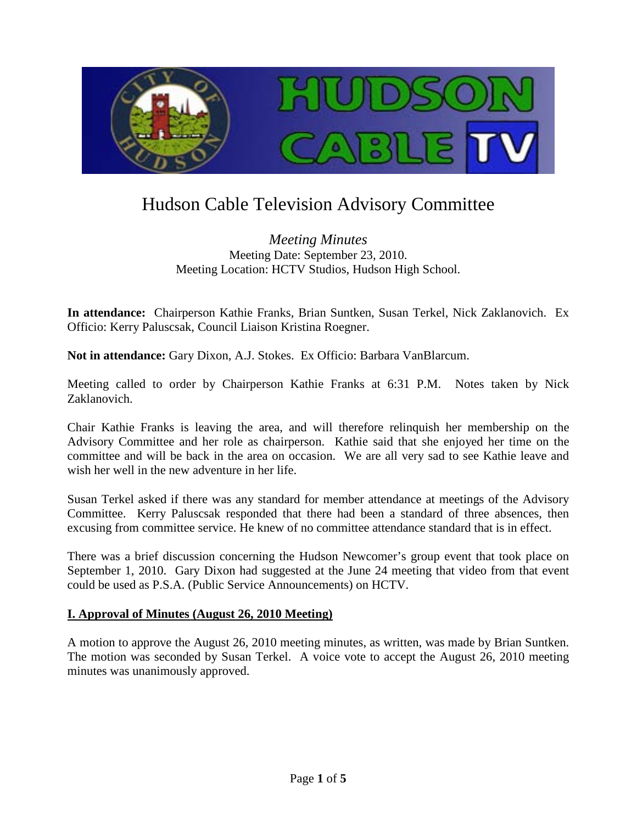

# Hudson Cable Television Advisory Committee

*Meeting Minutes* Meeting Date: September 23, 2010. Meeting Location: HCTV Studios, Hudson High School.

**In attendance:** Chairperson Kathie Franks, Brian Suntken, Susan Terkel, Nick Zaklanovich. Ex Officio: Kerry Paluscsak, Council Liaison Kristina Roegner.

**Not in attendance:** Gary Dixon, A.J. Stokes. Ex Officio: Barbara VanBlarcum.

Meeting called to order by Chairperson Kathie Franks at 6:31 P.M. Notes taken by Nick Zaklanovich.

Chair Kathie Franks is leaving the area, and will therefore relinquish her membership on the Advisory Committee and her role as chairperson. Kathie said that she enjoyed her time on the committee and will be back in the area on occasion. We are all very sad to see Kathie leave and wish her well in the new adventure in her life.

Susan Terkel asked if there was any standard for member attendance at meetings of the Advisory Committee. Kerry Paluscsak responded that there had been a standard of three absences, then excusing from committee service. He knew of no committee attendance standard that is in effect.

There was a brief discussion concerning the Hudson Newcomer's group event that took place on September 1, 2010. Gary Dixon had suggested at the June 24 meeting that video from that event could be used as P.S.A. (Public Service Announcements) on HCTV.

## **I. Approval of Minutes (August 26, 2010 Meeting)**

A motion to approve the August 26, 2010 meeting minutes, as written, was made by Brian Suntken. The motion was seconded by Susan Terkel. A voice vote to accept the August 26, 2010 meeting minutes was unanimously approved.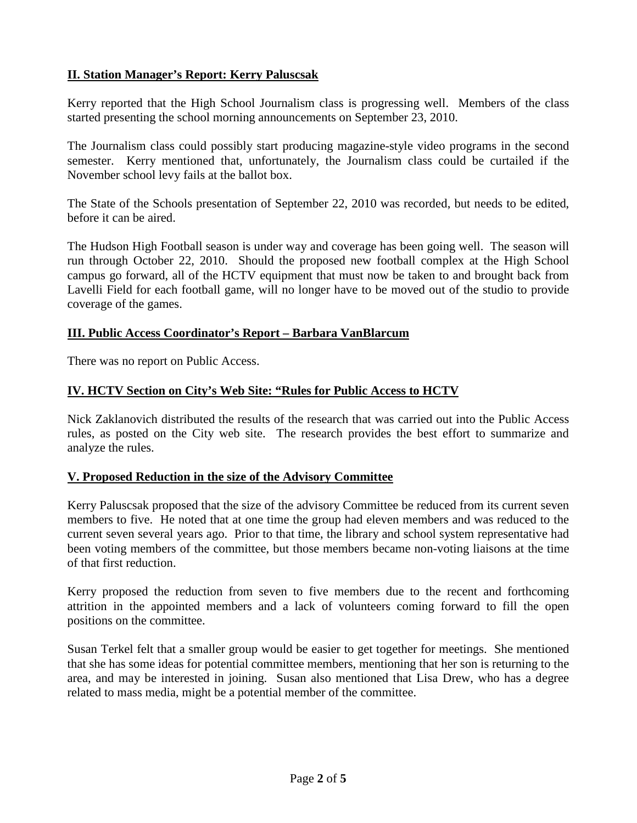# **II. Station Manager's Report: Kerry Paluscsak**

Kerry reported that the High School Journalism class is progressing well. Members of the class started presenting the school morning announcements on September 23, 2010.

The Journalism class could possibly start producing magazine-style video programs in the second semester. Kerry mentioned that, unfortunately, the Journalism class could be curtailed if the November school levy fails at the ballot box.

The State of the Schools presentation of September 22, 2010 was recorded, but needs to be edited, before it can be aired.

The Hudson High Football season is under way and coverage has been going well. The season will run through October 22, 2010. Should the proposed new football complex at the High School campus go forward, all of the HCTV equipment that must now be taken to and brought back from Lavelli Field for each football game, will no longer have to be moved out of the studio to provide coverage of the games.

## **III. Public Access Coordinator's Report – Barbara VanBlarcum**

There was no report on Public Access.

## **IV. HCTV Section on City's Web Site: "Rules for Public Access to HCTV**

Nick Zaklanovich distributed the results of the research that was carried out into the Public Access rules, as posted on the City web site. The research provides the best effort to summarize and analyze the rules.

#### **V. Proposed Reduction in the size of the Advisory Committee**

Kerry Paluscsak proposed that the size of the advisory Committee be reduced from its current seven members to five. He noted that at one time the group had eleven members and was reduced to the current seven several years ago. Prior to that time, the library and school system representative had been voting members of the committee, but those members became non-voting liaisons at the time of that first reduction.

Kerry proposed the reduction from seven to five members due to the recent and forthcoming attrition in the appointed members and a lack of volunteers coming forward to fill the open positions on the committee.

Susan Terkel felt that a smaller group would be easier to get together for meetings. She mentioned that she has some ideas for potential committee members, mentioning that her son is returning to the area, and may be interested in joining. Susan also mentioned that Lisa Drew, who has a degree related to mass media, might be a potential member of the committee.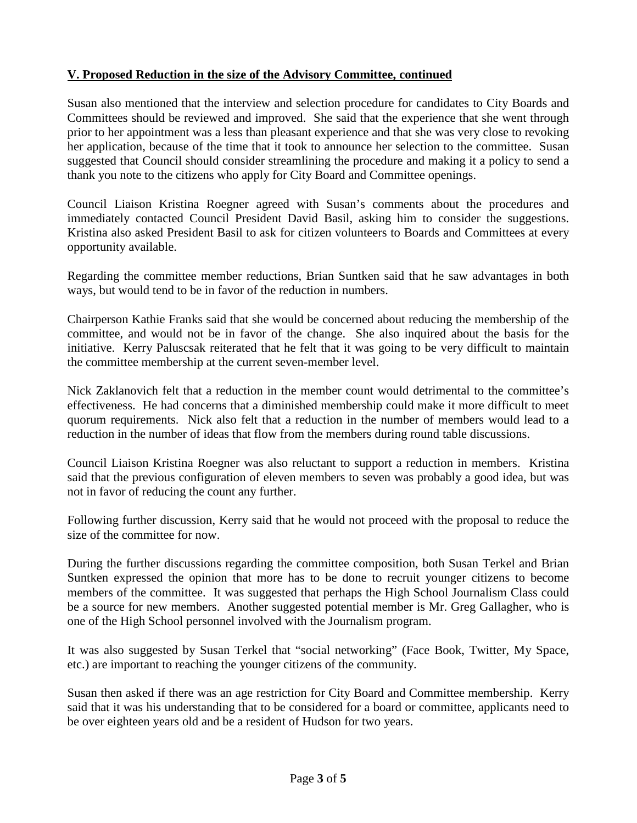# **V. Proposed Reduction in the size of the Advisory Committee, continued**

Susan also mentioned that the interview and selection procedure for candidates to City Boards and Committees should be reviewed and improved. She said that the experience that she went through prior to her appointment was a less than pleasant experience and that she was very close to revoking her application, because of the time that it took to announce her selection to the committee. Susan suggested that Council should consider streamlining the procedure and making it a policy to send a thank you note to the citizens who apply for City Board and Committee openings.

Council Liaison Kristina Roegner agreed with Susan's comments about the procedures and immediately contacted Council President David Basil, asking him to consider the suggestions. Kristina also asked President Basil to ask for citizen volunteers to Boards and Committees at every opportunity available.

Regarding the committee member reductions, Brian Suntken said that he saw advantages in both ways, but would tend to be in favor of the reduction in numbers.

Chairperson Kathie Franks said that she would be concerned about reducing the membership of the committee, and would not be in favor of the change. She also inquired about the basis for the initiative. Kerry Paluscsak reiterated that he felt that it was going to be very difficult to maintain the committee membership at the current seven-member level.

Nick Zaklanovich felt that a reduction in the member count would detrimental to the committee's effectiveness. He had concerns that a diminished membership could make it more difficult to meet quorum requirements. Nick also felt that a reduction in the number of members would lead to a reduction in the number of ideas that flow from the members during round table discussions.

Council Liaison Kristina Roegner was also reluctant to support a reduction in members. Kristina said that the previous configuration of eleven members to seven was probably a good idea, but was not in favor of reducing the count any further.

Following further discussion, Kerry said that he would not proceed with the proposal to reduce the size of the committee for now.

During the further discussions regarding the committee composition, both Susan Terkel and Brian Suntken expressed the opinion that more has to be done to recruit younger citizens to become members of the committee. It was suggested that perhaps the High School Journalism Class could be a source for new members. Another suggested potential member is Mr. Greg Gallagher, who is one of the High School personnel involved with the Journalism program.

It was also suggested by Susan Terkel that "social networking" (Face Book, Twitter, My Space, etc.) are important to reaching the younger citizens of the community.

Susan then asked if there was an age restriction for City Board and Committee membership. Kerry said that it was his understanding that to be considered for a board or committee, applicants need to be over eighteen years old and be a resident of Hudson for two years.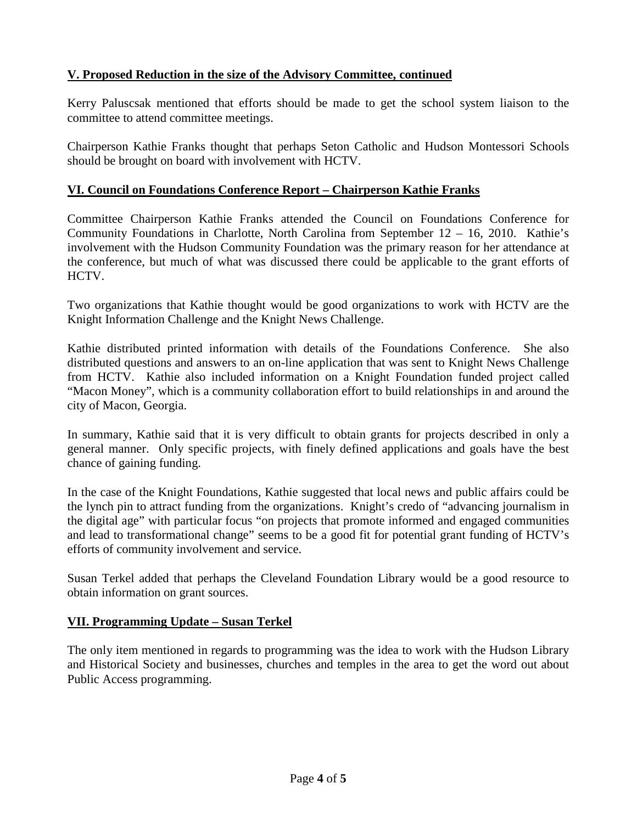# **V. Proposed Reduction in the size of the Advisory Committee, continued**

Kerry Paluscsak mentioned that efforts should be made to get the school system liaison to the committee to attend committee meetings.

Chairperson Kathie Franks thought that perhaps Seton Catholic and Hudson Montessori Schools should be brought on board with involvement with HCTV.

## **VI. Council on Foundations Conference Report – Chairperson Kathie Franks**

Committee Chairperson Kathie Franks attended the Council on Foundations Conference for Community Foundations in Charlotte, North Carolina from September 12 – 16, 2010. Kathie's involvement with the Hudson Community Foundation was the primary reason for her attendance at the conference, but much of what was discussed there could be applicable to the grant efforts of HCTV.

Two organizations that Kathie thought would be good organizations to work with HCTV are the Knight Information Challenge and the Knight News Challenge.

Kathie distributed printed information with details of the Foundations Conference. She also distributed questions and answers to an on-line application that was sent to Knight News Challenge from HCTV. Kathie also included information on a Knight Foundation funded project called "Macon Money", which is a community collaboration effort to build relationships in and around the city of Macon, Georgia.

In summary, Kathie said that it is very difficult to obtain grants for projects described in only a general manner. Only specific projects, with finely defined applications and goals have the best chance of gaining funding.

In the case of the Knight Foundations, Kathie suggested that local news and public affairs could be the lynch pin to attract funding from the organizations. Knight's credo of "advancing journalism in the digital age" with particular focus "on projects that promote informed and engaged communities and lead to transformational change" seems to be a good fit for potential grant funding of HCTV's efforts of community involvement and service.

Susan Terkel added that perhaps the Cleveland Foundation Library would be a good resource to obtain information on grant sources.

#### **VII. Programming Update – Susan Terkel**

The only item mentioned in regards to programming was the idea to work with the Hudson Library and Historical Society and businesses, churches and temples in the area to get the word out about Public Access programming.